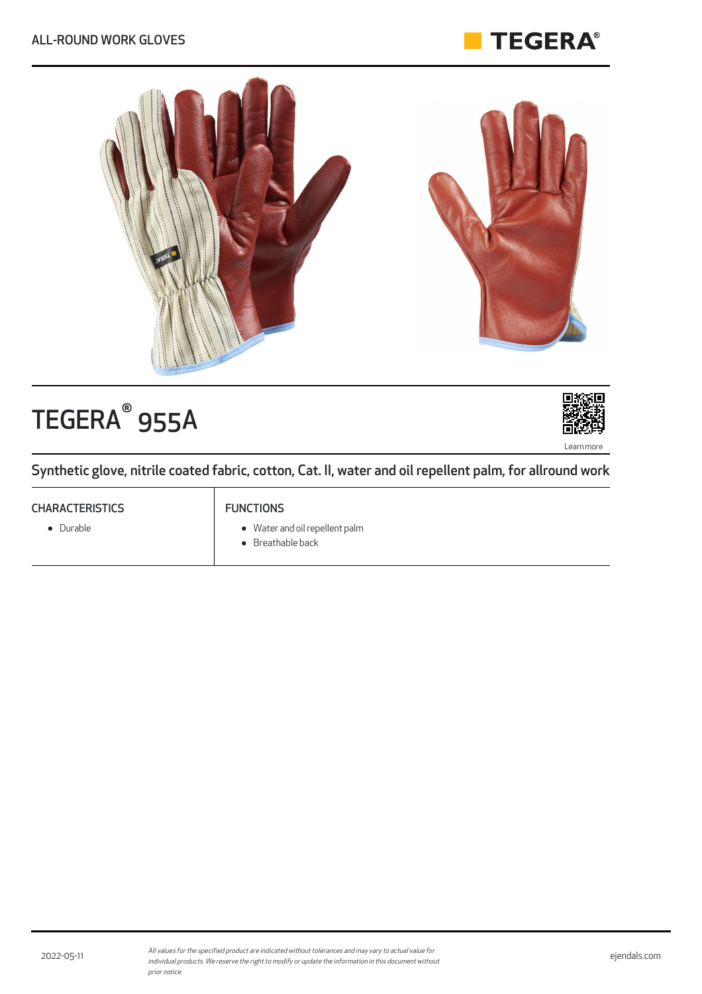



# TEGERA<sup>®</sup> 955A



Synthetic glove, nitrile coated fabric, cotton, Cat. II, water and oil repellent palm, for allround work

# **CHARACTERISTICS**

• Durable

# FUNCTIONS

- Water and oil repellent palm
- Breathable back